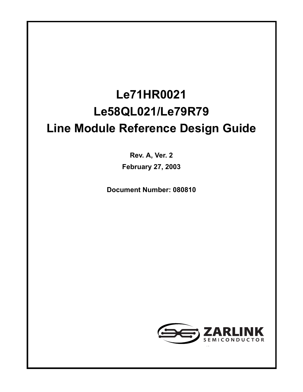## **Le71HR0021 Le58QL021/Le79R79 Line Module Reference Design Guide**

**Rev. A, Ver. 2 February 27, 2003**

**Document Number: 080810**

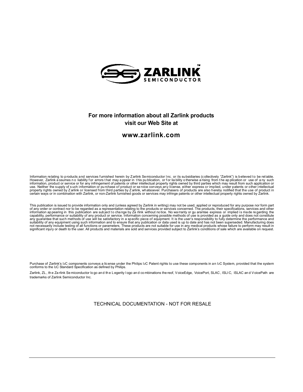

#### **For more information about all Zarlink products visit our Web Site at**

#### **www.zarlink.com**

Information relating to products and services furnished herein by Zarlink Semiconductor Inc. or its subsidiaries (collectively "Zarlink") is believed to be reliable.<br>However, Zarlink a ssumes no liability for errors that m

This publication is issued to provide information only and (unless agreed by Zarlink in writing) may not be used, applied or reproduced for any purpose nor form part<br>of any order or contract nor to be regarded as a represe suitability of any equipment using such information and to ensure that any publication or data used is up to date and has not been superseded. Manufacturing does<br>not necessarily include testing of all functions or paramete

Purchase of Zarlink's I2C components conveys a license under the Philips I2C Patent rights to use these components in an I2C System, provided that the system<br>conforms to the I2C Standard Specification as defined by Philips

Zarlink, ZL, the Za rlink Se miconductor lo go and the Legerity logo and combinations the reof, VoiceEdge, VoicePort, SLAC, ISLI C, ISLAC and VoicePath are trademarks of Zarlink Semiconductor Inc.

TECHNICAL DOCUMENTATION - NOT FOR RESALE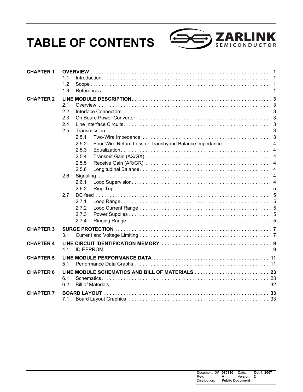## **TABLE OF CONTENTS**



| <b>CHAPTER 1</b> |                                                                   |  |
|------------------|-------------------------------------------------------------------|--|
|                  | 1.1                                                               |  |
|                  | 1.2                                                               |  |
|                  | 1.3                                                               |  |
| <b>CHAPTER 2</b> |                                                                   |  |
|                  | 2.1                                                               |  |
|                  | 2.2                                                               |  |
|                  | 2.3                                                               |  |
|                  | 2.4                                                               |  |
|                  | 2.5                                                               |  |
|                  | 2.5.1                                                             |  |
|                  | Four-Wire Return Loss or Transhybrid Balance Impedance 4<br>2.5.2 |  |
|                  | 2.5.3                                                             |  |
|                  | 2.5.4                                                             |  |
|                  | 2.5.5                                                             |  |
|                  | 2.5.6                                                             |  |
|                  | 2.6                                                               |  |
|                  | 2.6.1                                                             |  |
|                  | 2.6.2                                                             |  |
|                  | 2.7                                                               |  |
|                  | 2.7.1                                                             |  |
|                  | 2.7.2                                                             |  |
|                  | 2.7.3                                                             |  |
|                  | 2.7.4                                                             |  |
| <b>CHAPTER 3</b> |                                                                   |  |
|                  | 3.1                                                               |  |
| <b>CHAPTER 4</b> |                                                                   |  |
|                  | 4.1                                                               |  |
|                  |                                                                   |  |
| <b>CHAPTER 5</b> | 5.1                                                               |  |
|                  |                                                                   |  |
| <b>CHAPTER 6</b> |                                                                   |  |
|                  | 6.1                                                               |  |
|                  | 6.2                                                               |  |
| <b>CHAPTER 7</b> |                                                                   |  |
|                  | 7.1                                                               |  |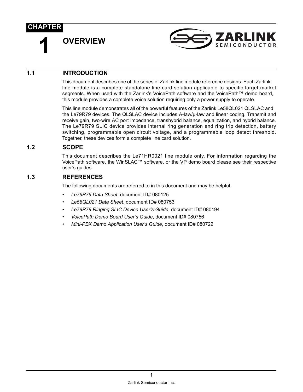<span id="page-4-0"></span>**1 OVERVIEW**



#### <span id="page-4-1"></span>**1.1 INTRODUCTION**

This document describes one of the series of Zarlink line module reference designs. Each Zarlink line module is a complete standalone line card solution applicable to specific target market segments. When used with the Zarlink's VoicePath software and the VoicePath™ demo board, this module provides a complete voice solution requiring only a power supply to operate.

This line module demonstrates all of the powerful features of the Zarlink Le58QL021 QLSLAC and the Le79R79 devices. The QLSLAC device includes A-law/µ-law and linear coding. Transmit and receive gain, two-wire AC port impedance, transhybrid balance, equalization, and hybrid balance. The Le79R79 SLIC device provides internal ring generation and ring trip detection, battery switching, programmable open circuit voltage, and a programmable loop detect threshold. Together, these devices form a complete line card solution.

#### <span id="page-4-2"></span>**1.2 SCOPE**

This document describes the Le71HR0021 line module only. For information regarding the VoicePath software, the WinSLAC™ software, or the VP demo board please see their respective user's guides.

#### <span id="page-4-3"></span>**1.3 REFERENCES**

The following documents are referred to in this document and may be helpful.

- *Le79R79 Data Sheet*, document ID# 080125
- *Le58QL021 Data Sheet*, document ID# 080753
- *Le79R79 Ringing SLIC Device User's Guide*, document ID# 080194
- *VoicePath Demo Board User's Guide*, document ID# 080756
- *Mini-PBX Demo Application User's Guide*, document ID# 080722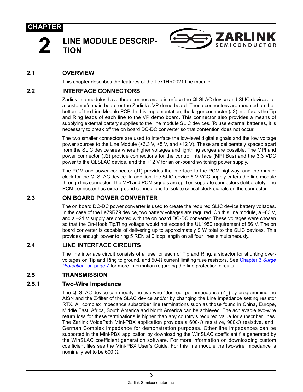

#### <span id="page-6-0"></span>**2 LINE MODULE DESCRIP-TION**



#### <span id="page-6-1"></span>**2.1 OVERVIEW**

This chapter describes the features of the Le71HR0021 line module.

#### <span id="page-6-2"></span>**2.2 INTERFACE CONNECTORS**

Zarlink line modules have three connectors to interface the QLSLAC device and SLIC devices to a customer's main board or the Zarlink's VP demo board. These connectors are mounted on the bottom of the Line Module PCB. In this implementation, the larger connector (J3) interfaces the Tip and Ring leads of each line to the VP demo board. This connector also provides a means of supplying external battery supplies to the line module SLIC devices. To use external batteries, it is necessary to break off the on board DC-DC converter so that contention does not occur.

The two smaller connectors are used to interface the low-level digital signals and the low voltage power sources to the Line Module (+3.3 V, +5 V, and +12 V). These are deliberately spaced apart from the SLIC device area where higher voltages and lightning surges are possible. The MPI and power connector (J2) provide connections for the control interface (MPI Bus) and the 3.3 VDC power to the QLSLAC device, and the +12 V for an on-board switching power supply.

The PCM and power connector (J1) provides the interface to the PCM highway, and the master clock for the QLSLAC device. In addition, the SLIC device 5-V VCC supply enters the line module through this connector. The MPI and PCM signals are split on separate connectors deliberately. The PCM connector has extra ground connections to isolate critical clock signals on the connector.

#### <span id="page-6-3"></span>**2.3 ON BOARD POWER CONVERTER**

The on board DC-DC power converter is used to create the required SLIC device battery voltages. In the case of the Le79R79 device, two battery voltages are required. On this line module, a −63 V, and a −21 V supply are created with the on board DC-DC converter. These voltages were chosen so that the On-Hook Tip/Ring voltage would not exceed the UL1950 requirement of 56 V. The on board converter is capable of delivering up to approximately 9 W total to the SLIC devices. This provides enough power to ring 5 REN at 0 loop length on all four lines simultaneously.

#### <span id="page-6-4"></span>**2.4 LINE INTERFACE CIRCUITS**

The line interface circuit consists of a fuse for each of Tip and Ring, a sidactor for shunting overvoltages on Tip and Ring to ground, and 50-Ω current limiting fuse resistors. See [Chapter 3](#page-10-2) *Surge [Protection,](#page-10-2)* on page 7 for more information regarding the line protection circuits.

#### <span id="page-6-5"></span>**2.5 TRANSMISSION**

#### <span id="page-6-6"></span>**2.5.1 Two-Wire Impedance**

The QLSLAC device can modify the two-wire "desired" port impedance  $(Z_D)$  by programming the AISN and the Z-filter of the SLAC device and/or by changing the Line impedance setting resistor RTX. All complex impedance subscriber line terminations such as those found in China, Europe, Middle East, Africa, South America and North America can be achieved. The achievable two-wire return loss for these terminations is higher than any country's required value for subscriber lines. The Zarlink VoicePath Mini-PBX application provides a 600-Ω resistive, 900-Ω resistive, and German Complex impedance for demonstration purposes. Other line impedances can be supported in the Mini-PBX application by downloading the WinSLAC coefficient file generated by the WinSLAC coefficient generation software. For more information on downloading custom coefficient files see the Mini-PBX User's Guide. For this line module the two-wire impedance is nominally set to be 600  $Ω$ .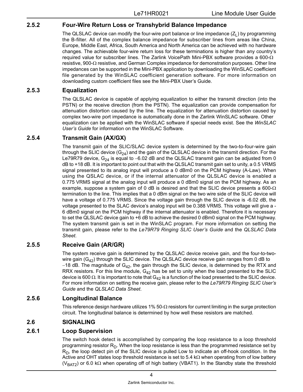#### <span id="page-7-0"></span>**2.5.2 Four-Wire Return Loss or Transhybrid Balance Impedance**

The QLSLAC device can modify the four-wire port balance or line impedance  $(Z<sub>l</sub>)$  by programming the B-filter. All of the complex balance impedance for subscriber lines from areas like China, Europe, Middle East, Africa, South America and North America can be achieved with no hardware changes. The achievable four-wire return loss for these terminations is higher than any country's required value for subscriber lines. The Zarlink VoicePath Mini-PBX software provides a 600- $\Omega$ resistive, 900-Ω resistive, and German Complex impedance for demonstration purposes. Other line impedances can be supported in the Mini-PBX application by downloading the WinSLAC coefficient file generated by the WinSLAC coefficient generation software. For more information on downloading custom coefficient files see the Mini-PBX User's Guide.

#### <span id="page-7-1"></span>**2.5.3 Equalization**

The QLSLAC device is capable of applying equalization to either the transmit direction (into the PSTN) or the receive direction (from the PSTN). The equalization can provide compensation for attenuation distortion caused by the line. The equalization for attenuation distortion caused by complex two-wire port impedance is automatically done in the Zarlink WinSLAC software. Other equalization can be applied with the WinSLAC software if special needs exist. See the *WinSLAC User's Guide* for information on the WinSLAC Software.

#### <span id="page-7-2"></span>**2.5.4 Transmit Gain (AX/GX)**

The transmit gain of the SLIC/SLAC device system is determined by the two-to-four-wire gain through the SLIC device  $(G_{24})$  and the gain of the QLSLAC device in the transmit direction. For the Le79R79 device, G<sub>24</sub> is equal to -6.02 dB and the QLSLAC transmit gain can be adjusted from 0 dB to +18 dB. It is important to point out that with the QLSLAC transmit gain set to unity, a 0.5 VRMS signal presented to its analog input will produce a 0 dBm0 on the PCM highway (A-Law). When using the QSLAC device, or if the internal attenuator of the QLSLAC device is enabled a 0.775 VRMS signal at the analog input will produce a 0 dBm0 signal on the PCM highway. As an example, suppose a system gain of 0 dB is desired and that the SLIC device presents a 600- $\Omega$ termination to the line. This implies that a 0 dBm signal on the two wire side of the SLIC device will have a voltage of 0.775 VRMS. Since the voltage gain through the SLIC device is -6.02 dB, the voltage presented to the SLAC device's analog input will be 0.388 VRMS. This voltage will give a - 6 dBm0 signal on the PCM highway if the internal attenuator is enabled. Therefore it is necessary to set the QLSLAC device gain to +6 dB to achieve the desired 0 dBm0 signal on the PCM highway. The system transmit gain is set in the WinSLAC program. For more information on setting the transmit gain, please refer to the *Le79R79 Ringing SLIC User's Guide* and the *QLSLAC Data Sheet*.

#### <span id="page-7-3"></span>**2.5.5 Receive Gain (AR/GR)**

The system receive gain is determined by the QLSLAC device receive gain, and the four-to-twowire gain  $(G_{42})$  through the SLIC device. The QLSLAC device receive gain ranges from 0 dB to  $-18$  dB. The magnitude of G<sub>42</sub>, the gain through the SLIC device, is determined by the RTX and RRX resistors. For this line module,  $G_{42}$  has be set to unity when the load presented to the SLIC device is 600  $\Omega$ . It is important to note that G<sub>42</sub> is a function of the load presented to the SLIC device. For more information on setting the receive gain, please refer to the *Le79R79 Ringing SLIC User's Guide* and the *QLSLAC Data Sheet*.

#### <span id="page-7-4"></span>**2.5.6 Longitudinal Balance**

This reference design hardware utilizes 1% 50- $\Omega$  resistors for current limiting in the surge protection circuit. The longitudinal balance is determined by how well these resistors are matched.

#### <span id="page-7-5"></span>**2.6 SIGNALING**

#### <span id="page-7-6"></span>**2.6.1 Loop Supervision**

The switch hook detect is accomplished by comparing the loop resistance to a loop threshold programming resistor  $R_D$ . When the loop resistance is less than the programmed resistance set by  $R<sub>D</sub>$ , the loop detect pin of the SLIC device is pulled Low to indicate an off-hook condition. In the Active and OHT states loop threshold resistance is set to 5.4 k $\Omega$  when operating from of low battery (V<sub>BAT2</sub>) or 6.0 kΩ when operating off of high battery (VBAT1). In the Standby state the threshold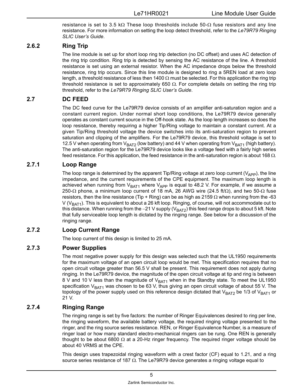resistance is set to 3.5 kΩ These loop thresholds include  $50-\Omega$  fuse resistors and any line resistance. For more information on setting the loop detect threshold, refer to the *Le79R79 Ringing SLIC User's Guide*.

#### <span id="page-8-0"></span>**2.6.2 Ring Trip**

The line module is set up for short loop ring trip detection (no DC offset) and uses AC detection of the ring trip condition. Ring trip is detected by sensing the AC resistance of the line. A threshold resistance is set using an external resistor. When the AC impedance drops below the threshold resistance, ring trip occurs. Since this line module is designed to ring a 5REN load at zero loop length, a threshold resistance of less then 1400  $\Omega$  must be selected. For this application the ring trip threshold resistance is set to approximately 650  $\Omega$ . For complete details on setting the ring trip threshold, refer to the *Le79R79 Ringing SLIC User's Guide*.

#### <span id="page-8-1"></span>**2.7 DC FEED**

The DC feed curve for the Le79R79 device consists of an amplifier anti-saturation region and a constant current region. Under normal short loop conditions, the Le79R79 device generally operates as constant current source in the Off-hook state. As the loop length increases so does the loop resistance, thereby requiring a higher Tip/Ring voltage to maintain a constant current. At a given Tip/Ring threshold voltage the device switches into its anti-saturation region to prevent saturation and clipping of the amplifiers. For the Le79R79 device, this threshold voltage is set to 12.5 V when operating from  $V_{BAT2}$  (low battery) and 44 V when operating from  $V_{BAT1}$  (high battery). The anti-saturation region for the Le79R79 device looks like a voltage feed with a fairly high series feed resistance. For this application, the feed resistance in the anti-saturation region is about 168  $\Omega$ .

#### <span id="page-8-2"></span>**2.7.1 Loop Range**

The loop range is determined by the apparent Tip/Ring voltage at zero loop current ( $V_{\rm APP}$ ), the line impedance, and the current requirements of the CPE equipment. The maximum loop length is achieved when running from  $V_{BAT1}$  where  $V_{APP}$  is equal to 48.2 V. For example, if we assume a 250- $\Omega$  phone, a minimum loop current of 18 mA, 26 AWG wire (24.5 ft/ $\Omega$ ), and two 50- $\Omega$  fuse resistors, then the line resistance (Tip + Ring) can be as high as 2159  $\Omega$  when running from the -63 V (V<sub>BAT1</sub>). This is equivalent to about a 26 kft loop. Ringing, of course, will not accommodate out to this distance. When running from the −21 V supply (V<sub>BAT2</sub>) this feed range drops to about 5 kft. Note that fully serviceable loop length is dictated by the ringing range. See below for a discussion of the ringing range.

#### <span id="page-8-3"></span>**2.7.2 Loop Current Range**

The loop current of this design is limited to 25 mA.

#### <span id="page-8-4"></span>**2.7.3 Power Supplies**

The most negative power supply for this design was selected such that the UL1950 requirements for the maximum voltage of an open circuit loop would be met. This specification requires that no open circuit voltage greater than 56.5 V shall be present. This requirement does not apply during ringing. In the Le79R79 device, the magnitude of the open circuit voltage at tip and ring is between 8 V and 10 V less than the magnitude of  $V_{BAT1}$  when in the Standby state. To meet the UL1950 specification  $V_{BAT1}$  was chosen to be 63 V, thus giving an open circuit voltage of about 55 V. The topology of the power supply used on this reference design dictated that  $V_{BAT}$  be 1/3 of  $V_{BAT}$  or 21 V.

#### <span id="page-8-5"></span>**2.7.4 Ringing Range**

The ringing range is set by five factors: the number of Ringer Equivalences desired to ring per line, the ringing waveform, the available battery voltage, the required ringing voltage presented to the ringer, and the ring source series resistance. REN, or Ringer Equivalence Number, is a measure of ringer load or how many standard electro-mechanical ringers can be rung. One REN is generally thought to be about 6800  $\Omega$  at a 20-Hz ringer frequency. The required ringer voltage should be about 40 VRMS at the CPE.

This design uses trapezoidal ringing waveform with a crest factor (CF) equal to 1.21, and a ring source series resistance of 187  $\Omega$ . The Le79R79 device generates a ringing voltage equal to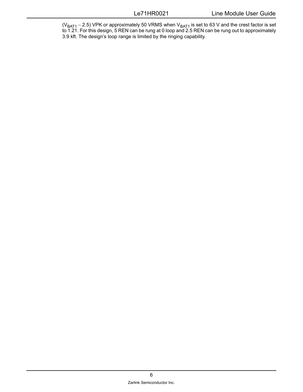(V<sub>BAT1</sub> – 2.5) VPK or approximately 50 VRMS when V<sub>BAT1</sub> is set to 63 V and the crest factor is set to 1.21. For this design, 5 REN can be rung at 0 loop and 2.5 REN can be rung out to approximately 3.9 kft. The design's loop range is limited by the ringing capability.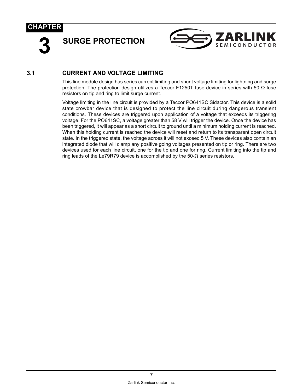<span id="page-10-2"></span><span id="page-10-0"></span>**3 SURGE PROTECTION**



#### <span id="page-10-1"></span>**3.1 CURRENT AND VOLTAGE LIMITING**

This line module design has series current limiting and shunt voltage limiting for lightning and surge protection. The protection design utilizes a Teccor F1250T fuse device in series with 50- $\Omega$  fuse resistors on tip and ring to limit surge current.

Voltage limiting in the line circuit is provided by a Teccor PO641SC Sidactor. This device is a solid state crowbar device that is designed to protect the line circuit during dangerous transient conditions. These devices are triggered upon application of a voltage that exceeds its triggering voltage. For the PO641SC, a voltage greater than 58 V will trigger the device. Once the device has been triggered, it will appear as a short circuit to ground until a minimum holding current is reached. When this holding current is reached the device will reset and return to its transparent open circuit state. In the triggered state, the voltage across it will not exceed 5 V. These devices also contain an integrated diode that will clamp any positive going voltages presented on tip or ring. There are two devices used for each line circuit, one for the tip and one for ring. Current limiting into the tip and ring leads of the Le79R79 device is accomplished by the 50- $\Omega$  series resistors.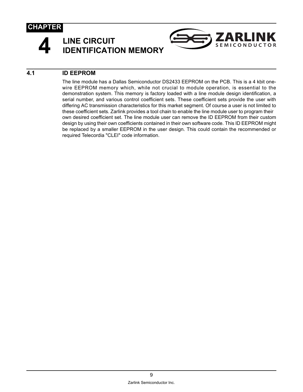

## <span id="page-12-0"></span>**4 LINE CIRCUIT IDENTIFICATION MEMORY**



#### <span id="page-12-1"></span>**4.1 ID EEPROM**

The line module has a Dallas Semiconductor DS2433 EEPROM on the PCB. This is a 4 kbit onewire EEPROM memory which, while not crucial to module operation, is essential to the demonstration system. This memory is factory loaded with a line module design identification, a serial number, and various control coefficient sets. These coefficient sets provide the user with differing AC transmission characteristics for this market segment. Of course a user is not limited to these coefficient sets. Zarlink provides a tool chain to enable the line module user to program their own desired coefficient set. The line module user can remove the ID EEPROM from their custom design by using their own coefficients contained in their own software code. This ID EEPROM might be replaced by a smaller EEPROM in the user design. This could contain the recommended or required Telecordia "CLEI" code information.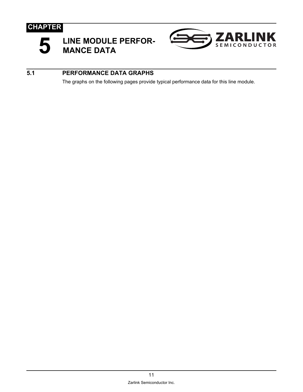<span id="page-14-0"></span>



#### <span id="page-14-1"></span>**5.1 PERFORMANCE DATA GRAPHS**

The graphs on the following pages provide typical performance data for this line module.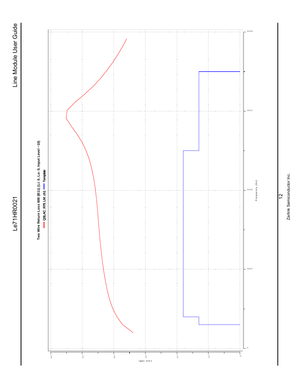

# Zarlink Semiconductor Inc. Zarlink Semiconductor Inc.

 $\frac{1}{2}$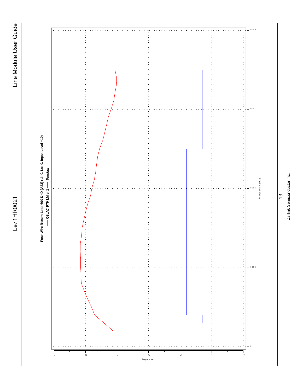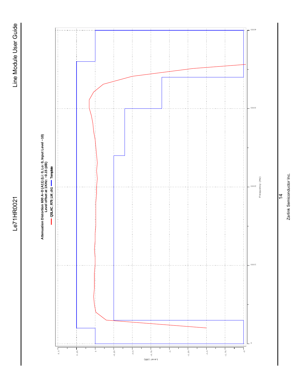

 $\frac{4}{4}$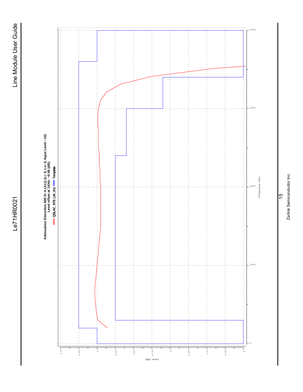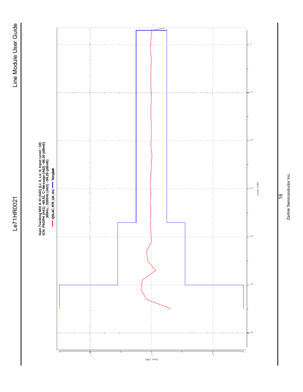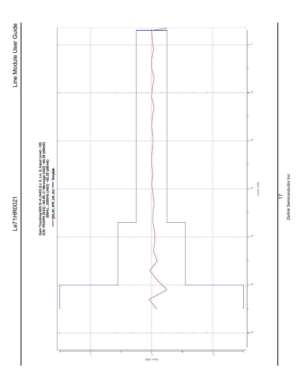

Zarlink Semiconductor Inc. Zarlink Semiconductor Inc.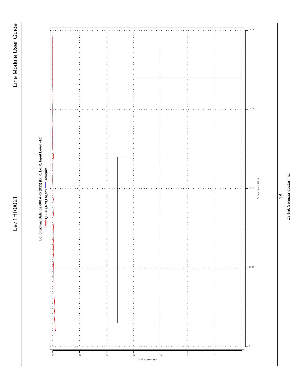

# Longitudinal Balance 600 A-D (B21) (Li: 0, Lo: 0, Input Level -10) **Longitudinal Balance 600 A−D (B21) (Li: 0, Lo: 0, Input Level −10)**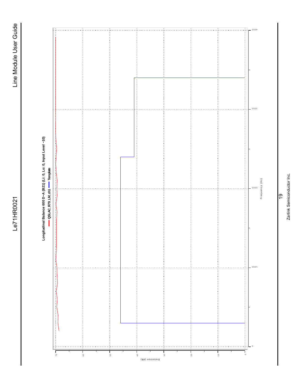

## Zarlink Semiconductor Inc. Zarlink Semiconductor Inc.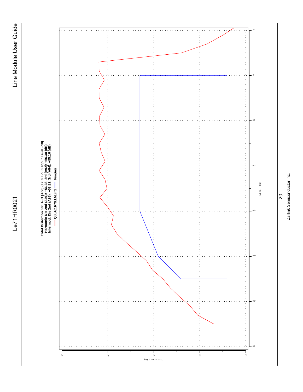

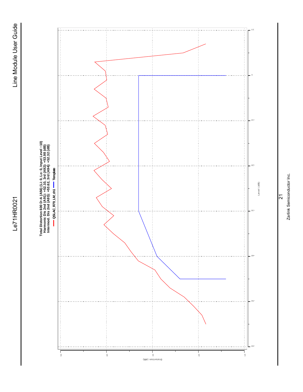

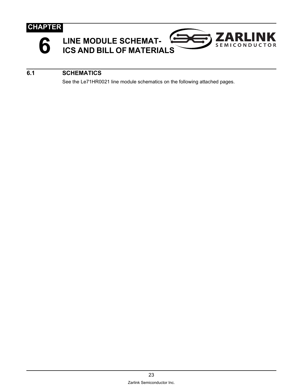

<span id="page-26-0"></span>



#### <span id="page-26-1"></span>**6.1 SCHEMATICS**

See the Le71HR0021 line module schematics on the following attached pages.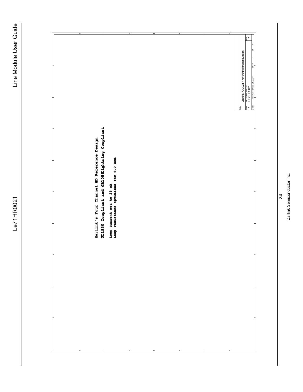| o<br>UL1950 Compliant and GR1089Lightning Compliant<br>Zarlink's Four Channel AD Reference Design | Loop current set to 25 mA<br>Loop resistance optimized for 600 ohm | $\circ$ |  | $\mathbb{R}^{\infty}$ m<br>Zarlink 79Q021 / 79R79 Reference Design<br>iday, February 21, 200<br>Document Number<br>LE71HR0021<br>$rac{6}{25}$<br>Ë<br>bate |
|---------------------------------------------------------------------------------------------------|--------------------------------------------------------------------|---------|--|------------------------------------------------------------------------------------------------------------------------------------------------------------|
|                                                                                                   |                                                                    |         |  |                                                                                                                                                            |

 $\frac{1}{2}$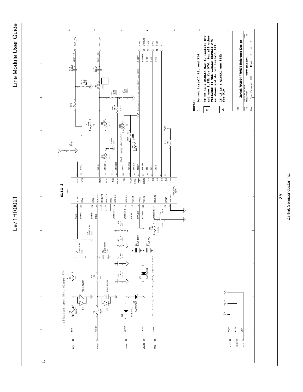Le71HR0021

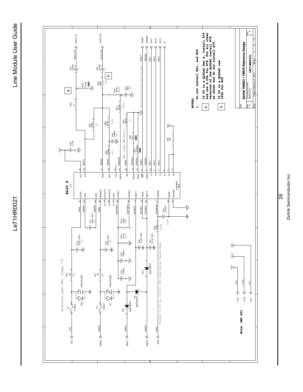

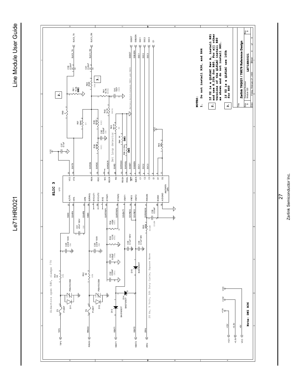



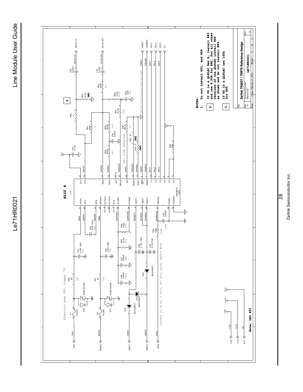Le71HR0021



Zarlink Semiconductor Inc. Zarlink Semiconductor Inc.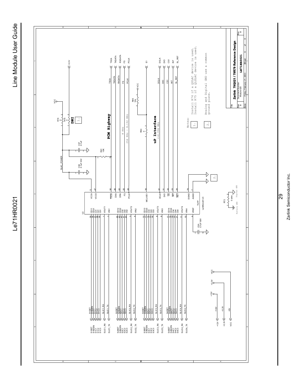Le71HR0021

Line Module User Guide Le71HR0021 Line Module User Guide



 $\overline{8}$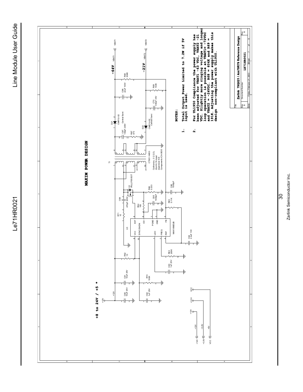![](_page_33_Figure_2.jpeg)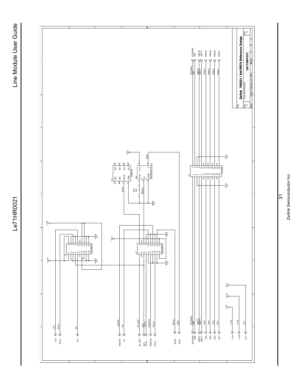Le71HR0021

![](_page_34_Figure_2.jpeg)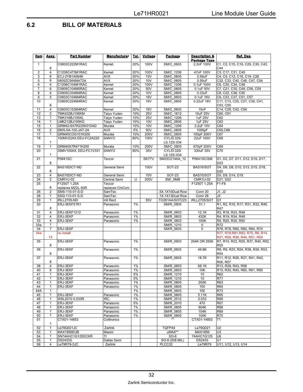#### <span id="page-35-0"></span>**6.2 BILL OF MATERIALS**

| <u>Item</u>          | Assy.          | <b>Part Number</b>                  | <b>Manufacturer</b>       | <u>Tol.</u> | Voltage         | Package                | <b>Description &amp;</b><br>Package Type | Ref. Des.                                          |
|----------------------|----------------|-------------------------------------|---------------------------|-------------|-----------------|------------------------|------------------------------------------|----------------------------------------------------|
| $\mathbf{1}$         | 8              | C0603C222M1RAC                      | Kemet                     | 20%         | 100V            | SM/C 0603              | 2.2nF 100V                               | C1, C2, C15, C16, C29, C30, C43,<br>C44            |
| 2                    | 4              | C1206C473M1RAC                      | Kemet                     | 20%         | 100V            | SM/C_1206              | 47nF 100V                                | C3, C17, C31, C45                                  |
| 3                    | 6              | ECJ-2YB1A564K                       | AVX                       | 20%         | 10 <sub>V</sub> | SM/C 0805              | 0.56uF                                   | C4, C5, C12, C18, C19, C26                         |
| 5                    | 6              | 0805ZC564MAT2A                      | <b>AVX</b>                | 20%         | 10V             | SM/C 0805              | 0.56uF                                   | C32, C33, C40, C46, C47, C54                       |
| 6                    | 4              | C1206C104M1RAC                      | Kemet                     | 20%         | 100V            | SM/C 1206              | 0.1uF 100V                               | C6, C20, C34, C48                                  |
| $\overline{7}$       | 6              | C0805C104M5RAC                      | Kemet                     | 20%         | 50V             | SM/C 0805              | 0.1uF 50V                                | C7, C21, C35, C49, C58, C59                        |
| 8                    | 4              | C0805C334M4RAC                      | Kemet                     | 20%         | 10V             | SM/C 0805              | 0.33uF                                   | C8, C22, C36, C50                                  |
| $\overline{9}$<br>10 | 5              | C0603C104M4RAC                      | Kemet                     | 20%         | <b>16V</b>      | SM/C 0603              | 0.1uF 16V                                | C9, C23, C37, C51, C57                             |
|                      | 8              | C0805C224M4RAC                      | Kemet                     | 20%         | <b>16V</b>      | SM/C_0805              | 0.22uF 16V                               | C11, C13, C25, C27, C39, C41,<br>C53, C55          |
| 11                   | $\overline{4}$ | C0603C153M4RAC                      | Kemet                     | 20%         | <b>16V</b>      | SM/C 0603              | 15nF                                     | C14, C28, C42, C56                                 |
| 12                   | $\overline{2}$ | TMK432BJ106KM                       | Taiyo Yuden               | 10%         | 25V             | SM/C 1812              | 10uF 25V                                 | C60, C61                                           |
| 13                   | 1              | TMK316BJ105KL                       | Taiyo Yuden               | 10%         | 25V             | SM/C 1206              | 1uF 25V                                  | C62                                                |
| 14                   | 1              | LMK212BJ105KG                       | Taiyo Yuden               | 10%         | 10 <sub>V</sub> | SM/C 0805              | 1uF 25V                                  | C63                                                |
| 15                   | $\mathbf{1}$   | GRM42-6X7R225K010AD                 | Murata                    | 10%         | 10 <sub>V</sub> | SM/C 1206              | 2.2uF 10V                                | C64                                                |
| 16                   | $\overline{2}$ | 0805-5A-102-JAT-2A                  | <b>AVX</b>                | 5%          | 50V             | SM/C 0805              | 1000pF                                   | C65,C66                                            |
| 17                   | 1              | GRM40COG101K200                     | Murata                    | 10%         | 200V            | SM/C 0805              | 100pF 200V                               | C67                                                |
| 18                   |                | 100MV22AX, EEU-FC2A220              | SANYO                     | 80%         | 100V            | CYL/D.325/             | 22uF 100V                                | C68                                                |
|                      | 1              |                                     |                           |             |                 | LS.125/.034            |                                          |                                                    |
| 19                   | 1              | GRM40X7R471K200                     | Murata                    | 10%         | 200V            | SM/C_0805              | 470pF 200V                               | C69                                                |
| 20                   |                | 35MV100AX, EEU-FC1V331              | SANYO                     | 80%         | 35V             | CYL/D.325/             | 330uF 35V                                | C70                                                |
|                      | 1              |                                     |                           |             |                 | LS.125/.034            |                                          |                                                    |
| 21                   | 8              | P0641SC                             | Teccor                    |             | 58/77V          | SM/DO214AA_12          | P0641SC/SM                               | D1, D2, D7, D11, D12, D16, D17,<br>D <sub>23</sub> |
| 22                   |                | BAS16DICT-ND                        | General Semi              |             | 100V            | <b>SOT-23</b>          | BAS16/SOT                                | D4, D6, D8, D10, D13, D15, D18,                    |
|                      | 8              |                                     |                           |             |                 |                        |                                          | D <sub>20</sub>                                    |
| 23                   | 4              | BAS70DICT-ND                        | General Semi              |             | 70V             | <b>SOT-23</b>          | BAS70/SOT                                | D5, D9, D14, D19                                   |
| 24<br>25             | $\overline{2}$ | <b>CMR1U-02</b>                     | Central Semi              | U           | 200V            | SM/SMB                 | <b>CMR1U-02</b>                          | D21, D22                                           |
|                      | 8              | F1250T 1.25A                        | Teccor<br>replaces ChiCom |             |                 |                        | F1250T 1.25A                             | $F1-F8$                                            |
| 26                   | 2              | replaces MZ2L-50R<br>SMS-110-01-S-D | SamTec                    |             |                 | .5X.1X10Dual Row       | Conn 20                                  | J1, J2                                             |
| 28                   | 1              | SSQ-113-01-S-D                      | SamTec                    |             |                 | .1X.1X13Dual Row       | Conn 26                                  | J3                                                 |
| 29                   | 1              | IRLL2705-ND                         | Intl Rect                 |             | 55V             | TO261AA/SOT223         | <b>IRLL2705/SOT</b>                      | Q <sub>1</sub>                                     |
| 30                   |                | ERJ-3EKF51R1                        | Panasonic                 | $1\%$       |                 | SM/R_0805              | 51.1                                     | R1, R2, R16, R17, R31, R32, R46,                   |
|                      | 8              |                                     |                           |             |                 |                        |                                          | R47                                                |
| 31                   | 4              | ERJ-3EKF1212                        | Panasonic                 | 1%          |                 | SM/R 0603              | 12.1K                                    | R3, R18, R33, R48                                  |
| 32                   | 4              | ERJ-3EKF                            | Panasonic                 | $1\%$       |                 | SM/R 0603              | 432K                                     | R4, R19, R34, R49                                  |
| 33                   | $\overline{4}$ | ERJ-3EKF                            | Panasonic                 | 1%          |                 | SM/R 0603              | 150K                                     | R5, R20, R35, R50                                  |
| 33a                  | 1              |                                     |                           |             |                 | SM/R 1210              | 0                                        | R72                                                |
| 34                   | 7              | ERJ-3EKF                            |                           |             |                 | SM/R 0603              | 0                                        | R76, R78, R80, R82, R84, R74                       |
| 34a                  |                | no install                          |                           |             |                 |                        |                                          | R77, R79, R81, R83, R75, R6, R14,                  |
|                      | 13             |                                     |                           |             |                 |                        |                                          | R21, R29, R36, R44, R51, R59                       |
| 35                   | 8              | ERJ-3EKF                            | Panasonic                 | 1%          |                 | SM/R 0603              | 254K OR 255K                             | R7, R10, R22, R25, R37, R40, R52,<br><b>R55</b>    |
| 36                   |                | ERJ-3EKF                            | Panasonic                 | 1%          |                 | SM/R 0603              | 49.9K                                    | R8, R9, R23, R24, R38, R39, R53,                   |
|                      | 8              |                                     |                           |             |                 |                        |                                          | <b>R54</b>                                         |
| 37                   |                | ERJ-3EKF                            | Panasonic                 | 1%          |                 | SM/R 0603              | 18.7K                                    | R11, R12, R26, R27, R41, R42,                      |
|                      | 8              |                                     |                           |             |                 |                        |                                          | R56, R57                                           |
| 38                   | 4              | ERJ-3EKF                            | Panasonic                 | 1%          |                 | SM/R_0603              | 68.1K                                    | R13, R28, R43, R58                                 |
| 40                   | 6              | ERJ-3EKF                            | Panasonic                 | $1\%$       |                 | SM/R 0603              | 10K                                      | R15, R30, R45, R60, R61, R85                       |
| 41                   | $\mathbf{1}$   | ERJ-3EKF                            | Panasonic                 | 5%          |                 | SM/R_1210              | 10                                       | R62                                                |
| 42                   | $\mathbf{1}$   | ERJ-3EKF                            | Panasonic                 | 5%          |                 | SM/R 1210              | 10                                       | R71                                                |
| 43                   | 1              | ERJ-3EKF                            | Panasonic                 | 1%          |                 | SM/R 0805              | 200K                                     | R63                                                |
| 44                   | 1              | ERJ-3EKF                            | Panasonic                 | 1%          |                 | SM/R 0805              | 100                                      | R64                                                |
| 44A                  | 1              |                                     |                           | $1\%$       |                 | SM/R 0603              | 100                                      | R73                                                |
| 45                   | 1              | ERJ-3EKF                            | Panasonic                 | 1%          |                 | SM/R_0805              | 5.11K                                    | <b>R65</b>                                         |
| 46                   | 1              | WSL2010 0.033R                      | IRC                       | $1\%$       |                 | SM/R 2512              | 0.033                                    | R66                                                |
| 47                   | 1              | ERJ-3EKF                            | Panasonic                 | 5%          |                 | SM/R 2010              | 470                                      | R67                                                |
| 48<br>49             | 1<br>1         | ERJ-3EKF<br>ERJ-3EKF                | Panasonic<br>Panasonic    | 1%<br>1%    |                 | SM/R 0805<br>SM/R 0805 | 604K<br>154K                             | <b>R68</b><br>R69                                  |
| 50                   | 1              | ERJ-3EKF                            | Panasonic                 | 1%          |                 | SM/R 0805              | 100K                                     | <b>R70</b>                                         |
| 51                   |                | CTX01-14853                         | Coiltronics               |             |                 |                        | CTX01-14853                              | T1                                                 |
|                      | 1              |                                     |                           |             |                 |                        |                                          |                                                    |
| 52                   | 1              | Le79Q021JC                          | Zarlink                   |             |                 | TQFP44                 | Le79Q021                                 | U <sub>2</sub>                                     |
| 53                   | 1              | MAX1856EUB                          | Maxim                     |             |                 | uMAX**                 | MAX1856                                  | U <sub>3</sub>                                     |
| 54                   | 1              | SN74AHC1G125DCKR                    | ΤI                        |             |                 | $SO-6$                 | 74AHC1G125                               | U <sub>6</sub>                                     |
| 55                   | 1              | DS2433S                             | Dallas Semi               |             |                 | SO-8 (208 MIL)         | DS2433                                   | U1                                                 |
| 56                   | 4              | Le79R79-3JC                         | Zarlink                   |             |                 | PLCC32                 | Le79R79                                  | U11, U12, U13, U14                                 |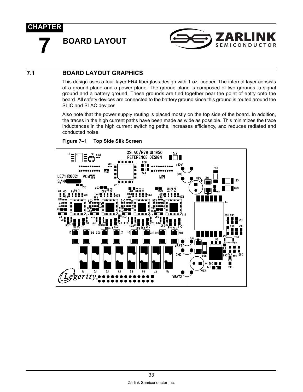<span id="page-36-0"></span>**7 BOARD LAYOUT**

![](_page_36_Picture_2.jpeg)

#### **7.1 BOARD LAYOUT GRAPHICS**

This design uses a four-layer FR4 fiberglass design with 1 oz. copper. The internal layer consists of a ground plane and a power plane. The ground plane is composed of two grounds, a signal ground and a battery ground. These grounds are tied together near the point of entry onto the board. All safety devices are connected to the battery ground since this ground is routed around the SLIC and SLAC devices.

Also note that the power supply routing is placed mostly on the top side of the board. In addition, the traces in the high current paths have been made as wide as possible. This minimizes the trace inductances in the high current switching paths, increases efficiency, and reduces radiated and conducted noise.

![](_page_36_Figure_6.jpeg)

#### **Figure 7–1 Top Side Silk Screen**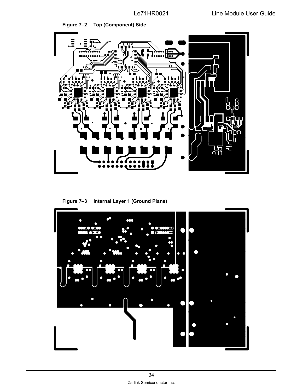![](_page_37_Picture_2.jpeg)

**Figure 7–3 Internal Layer 1 (Ground Plane)** 

![](_page_37_Picture_4.jpeg)